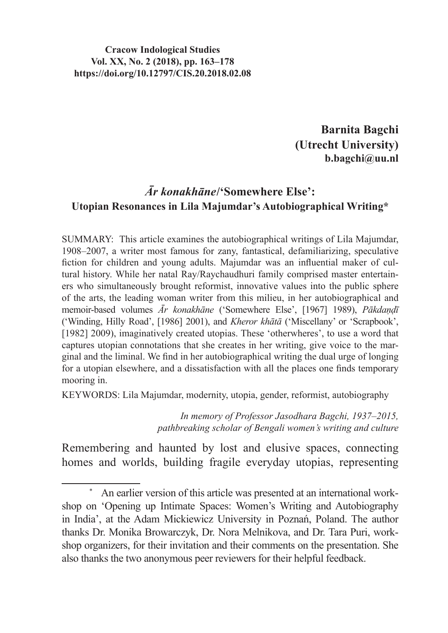**Barnita Bagchi (Utrecht University) b.bagchi@uu.nl**

## *Ār konakhāne***/'Somewhere Else': Utopian Resonances in Lila Majumdar's Autobiographical Writing\***

SUMMARY: This article examines the autobiographical writings of Lila Majumdar, 1908–2007, a writer most famous for zany, fantastical, defamiliarizing, speculative fiction for children and young adults. Majumdar was an influential maker of cultural history. While her natal Ray/Raychaudhuri family comprised master entertainers who simultaneously brought reformist, innovative values into the public sphere of the arts, the leading woman writer from this milieu, in her autobiographical and memoir-based volumes *Ār konakhāne* ('Somewhere Else', [1967] 1989), *Pākdaṇḍī* ('Winding, Hilly Road', [1986] 2001), and *Kheror khātā* ('Miscellany' or 'Scrapbook', [1982] 2009), imaginatively created utopias. These 'otherwheres', to use a word that captures utopian connotations that she creates in her writing, give voice to the marginal and the liminal. We find in her autobiographical writing the dual urge of longing for a utopian elsewhere, and a dissatisfaction with all the places one finds temporary mooring in.

KEYWORDS: Lila Majumdar, modernity, utopia, gender, reformist, autobiography

*In memory of Professor Jasodhara Bagchi, 1937–2015, pathbreaking scholar of Bengali women's writing and culture*

Remembering and haunted by lost and elusive spaces, connecting homes and worlds, building fragile everyday utopias, representing

An earlier version of this article was presented at an international workshop on 'Opening up Intimate Spaces: Women's Writing and Autobiography in India', at the Adam Mickiewicz University in Poznań, Poland. The author thanks Dr. Monika Browarczyk, Dr. Nora Melnikova, and Dr. Tara Puri, workshop organizers, for their invitation and their comments on the presentation. She also thanks the two anonymous peer reviewers for their helpful feedback.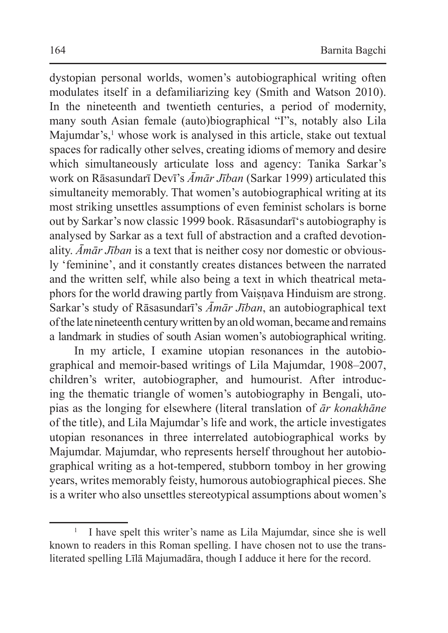dystopian personal worlds, women's autobiographical writing often modulates itself in a defamiliarizing key (Smith and Watson 2010). In the nineteenth and twentieth centuries, a period of modernity, many south Asian female (auto)biographical "I"s, notably also Lila Majumdar's,<sup>1</sup> whose work is analysed in this article, stake out textual spaces for radically other selves, creating idioms of memory and desire which simultaneously articulate loss and agency: Tanika Sarkar's work on Rāsasundarī Devī's *Āmār Jīban* (Sarkar 1999) articulated this simultaneity memorably. That women's autobiographical writing at its most striking unsettles assumptions of even feminist scholars is borne out by Sarkar's now classic 1999 book. Rāsasundarī's autobiography is analysed by Sarkar as a text full of abstraction and a crafted devotionality. *Āmār Jīban* is a text that is neither cosy nor domestic or obviously 'feminine', and it constantly creates distances between the narrated and the written self, while also being a text in which theatrical metaphors for the world drawing partly from Vaisnava Hinduism are strong. Sarkar's study of Rāsasundarī's *Āmār Jīban*, an autobiographical text of the late nineteenth century written by an old woman, became and remains a landmark in studies of south Asian women's autobiographical writing.

In my article, I examine utopian resonances in the autobiographical and memoir-based writings of Lila Majumdar, 1908–2007, children's writer, autobiographer, and humourist. After introducing the thematic triangle of women's autobiography in Bengali, utopias as the longing for elsewhere (literal translation of *ār konakhāne* of the title), and Lila Majumdar's life and work, the article investigates utopian resonances in three interrelated autobiographical works by Majumdar. Majumdar, who represents herself throughout her autobiographical writing as a hot-tempered, stubborn tomboy in her growing years, writes memorably feisty, humorous autobiographical pieces. She is a writer who also unsettles stereotypical assumptions about women's

<sup>1</sup> I have spelt this writer's name as Lila Majumdar, since she is well known to readers in this Roman spelling. I have chosen not to use the transliterated spelling Līlā Majumadāra, though I adduce it here for the record.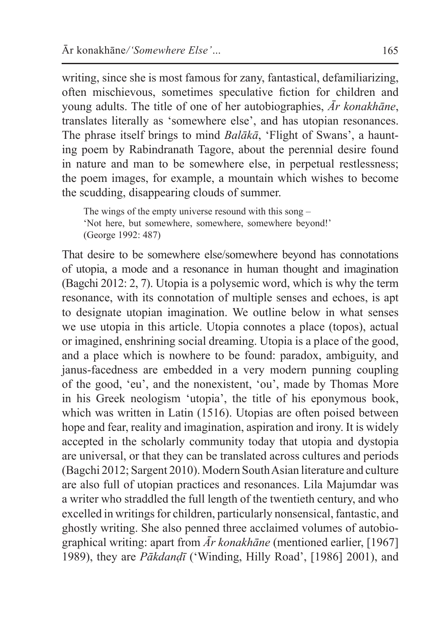writing, since she is most famous for zany, fantastical, defamiliarizing, often mischievous, sometimes speculative fiction for children and young adults. The title of one of her autobiographies, *Ār konakhāne*, translates literally as 'somewhere else', and has utopian resonances. The phrase itself brings to mind *Balākā*, 'Flight of Swans', a haunting poem by Rabindranath Tagore, about the perennial desire found in nature and man to be somewhere else, in perpetual restlessness; the poem images, for example, a mountain which wishes to become the scudding, disappearing clouds of summer.

The wings of the empty universe resound with this song – 'Not here, but somewhere, somewhere, somewhere beyond!' (George 1992: 487)

That desire to be somewhere else/somewhere beyond has connotations of utopia, a mode and a resonance in human thought and imagination (Bagchi 2012: 2, 7). Utopia is a polysemic word, which is why the term resonance, with its connotation of multiple senses and echoes, is apt to designate utopian imagination. We outline below in what senses we use utopia in this article. Utopia connotes a place (topos), actual or imagined, enshrining social dreaming. Utopia is a place of the good, and a place which is nowhere to be found: paradox, ambiguity, and janus-facedness are embedded in a very modern punning coupling of the good, 'eu', and the nonexistent, 'ou', made by Thomas More in his Greek neologism 'utopia', the title of his eponymous book, which was written in Latin (1516). Utopias are often poised between hope and fear, reality and imagination, aspiration and irony. It is widely accepted in the scholarly community today that utopia and dystopia are universal, or that they can be translated across cultures and periods (Bagchi 2012; Sargent 2010). Modern SouthAsian literature and culture are also full of utopian practices and resonances. Lila Majumdar was a writer who straddled the full length of the twentieth century, and who excelled in writings for children, particularly nonsensical, fantastic, and ghostly writing. She also penned three acclaimed volumes of autobiographical writing: apart from *Ār konakhāne* (mentioned earlier, [1967] 1989), they are *Pākdanḍī* ('Winding, Hilly Road', [1986] 2001), and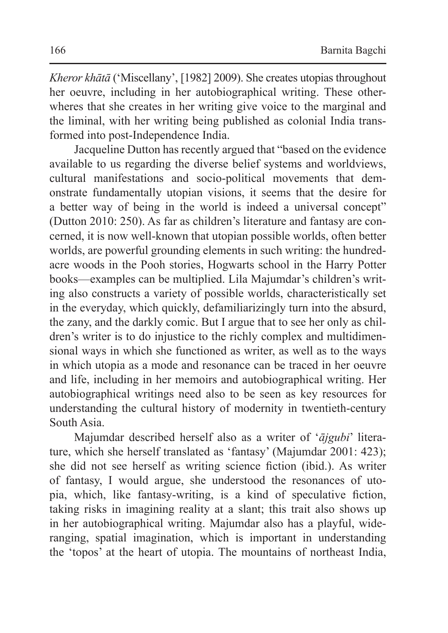*Kheror khātā* ('Miscellany', [1982] 2009). She creates utopias throughout her oeuvre, including in her autobiographical writing. These otherwheres that she creates in her writing give voice to the marginal and the liminal, with her writing being published as colonial India transformed into post-Independence India.

Jacqueline Dutton has recently argued that "based on the evidence available to us regarding the diverse belief systems and worldviews, cultural manifestations and socio-political movements that demonstrate fundamentally utopian visions, it seems that the desire for a better way of being in the world is indeed a universal concept" (Dutton 2010: 250). As far as children's literature and fantasy are concerned, it is now well-known that utopian possible worlds, often better worlds, are powerful grounding elements in such writing: the hundredacre woods in the Pooh stories, Hogwarts school in the Harry Potter books—examples can be multiplied. Lila Majumdar's children's writing also constructs a variety of possible worlds, characteristically set in the everyday, which quickly, defamiliarizingly turn into the absurd, the zany, and the darkly comic. But I argue that to see her only as children's writer is to do injustice to the richly complex and multidimensional ways in which she functioned as writer, as well as to the ways in which utopia as a mode and resonance can be traced in her oeuvre and life, including in her memoirs and autobiographical writing. Her autobiographical writings need also to be seen as key resources for understanding the cultural history of modernity in twentieth-century South Asia.

Majumdar described herself also as a writer of '*ājgubi*' literature, which she herself translated as 'fantasy' (Majumdar 2001: 423); she did not see herself as writing science fiction (ibid.). As writer of fantasy, I would argue, she understood the resonances of utopia, which, like fantasy-writing, is a kind of speculative fiction, taking risks in imagining reality at a slant; this trait also shows up in her autobiographical writing. Majumdar also has a playful, wideranging, spatial imagination, which is important in understanding the 'topos' at the heart of utopia. The mountains of northeast India,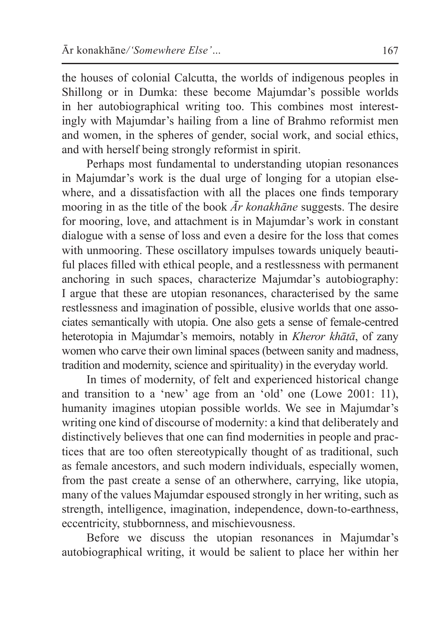the houses of colonial Calcutta, the worlds of indigenous peoples in Shillong or in Dumka: these become Majumdar's possible worlds in her autobiographical writing too. This combines most interestingly with Majumdar's hailing from a line of Brahmo reformist men and women, in the spheres of gender, social work, and social ethics, and with herself being strongly reformist in spirit.

Perhaps most fundamental to understanding utopian resonances in Majumdar's work is the dual urge of longing for a utopian elsewhere, and a dissatisfaction with all the places one finds temporary mooring in as the title of the book *Ār konakhāne* suggests. The desire for mooring, love, and attachment is in Majumdar's work in constant dialogue with a sense of loss and even a desire for the loss that comes with unmooring. These oscillatory impulses towards uniquely beautiful places filled with ethical people, and a restlessness with permanent anchoring in such spaces, characterize Majumdar's autobiography: I argue that these are utopian resonances, characterised by the same restlessness and imagination of possible, elusive worlds that one associates semantically with utopia. One also gets a sense of female-centred heterotopia in Majumdar's memoirs, notably in *Kheror khātā*, of zany women who carve their own liminal spaces (between sanity and madness, tradition and modernity, science and spirituality) in the everyday world.

In times of modernity, of felt and experienced historical change and transition to a 'new' age from an 'old' one (Lowe 2001: 11), humanity imagines utopian possible worlds. We see in Majumdar's writing one kind of discourse of modernity: a kind that deliberately and distinctively believes that one can find modernities in people and practices that are too often stereotypically thought of as traditional, such as female ancestors, and such modern individuals, especially women, from the past create a sense of an otherwhere, carrying, like utopia, many of the values Majumdar espoused strongly in her writing, such as strength, intelligence, imagination, independence, down-to-earthness, eccentricity, stubbornness, and mischievousness.

Before we discuss the utopian resonances in Majumdar's autobiographical writing, it would be salient to place her within her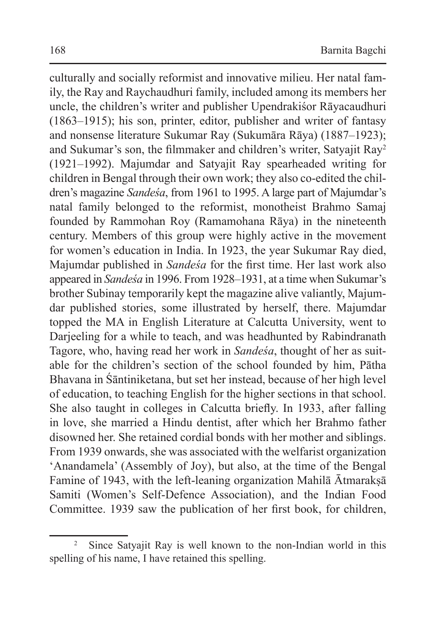culturally and socially reformist and innovative milieu. Her natal family, the Ray and Raychaudhuri family, included among its members her uncle, the children's writer and publisher Upendrakiśor Rāyacaudhuri (1863–1915); his son, printer, editor, publisher and writer of fantasy and nonsense literature Sukumar Ray (Sukumāra Rāya) (1887–1923); and Sukumar's son, the filmmaker and children's writer, Satyajit Ray<sup>2</sup> (1921–1992). Majumdar and Satyajit Ray spearheaded writing for children in Bengal through their own work; they also co-edited the children's magazine *Sandeśa*, from 1961 to 1995. A large part of Majumdar's natal family belonged to the reformist, monotheist Brahmo Samaj founded by Rammohan Roy (Ramamohana Rāya) in the nineteenth century. Members of this group were highly active in the movement for women's education in India. In 1923, the year Sukumar Ray died, Majumdar published in *Sandeśa* for the first time. Her last work also appeared in *Sandeśa* in 1996. From 1928–1931, at a time when Sukumar's brother Subinay temporarily kept the magazine alive valiantly, Majumdar published stories, some illustrated by herself, there. Majumdar topped the MA in English Literature at Calcutta University, went to Darjeeling for a while to teach, and was headhunted by Rabindranath Tagore, who, having read her work in *Sandeśa*, thought of her as suitable for the children's section of the school founded by him, Pātha Bhavana in Śāntiniketana, but set her instead, because of her high level of education, to teaching English for the higher sections in that school. She also taught in colleges in Calcutta briefly. In 1933, after falling in love, she married a Hindu dentist, after which her Brahmo father disowned her. She retained cordial bonds with her mother and siblings. From 1939 onwards, she was associated with the welfarist organization 'Anandamela' (Assembly of Joy), but also, at the time of the Bengal Famine of 1943, with the left-leaning organization Mahilā Ātmarakṣā Samiti (Women's Self-Defence Association), and the Indian Food Committee. 1939 saw the publication of her first book, for children,

<sup>&</sup>lt;sup>2</sup> Since Satyajit Ray is well known to the non-Indian world in this spelling of his name, I have retained this spelling.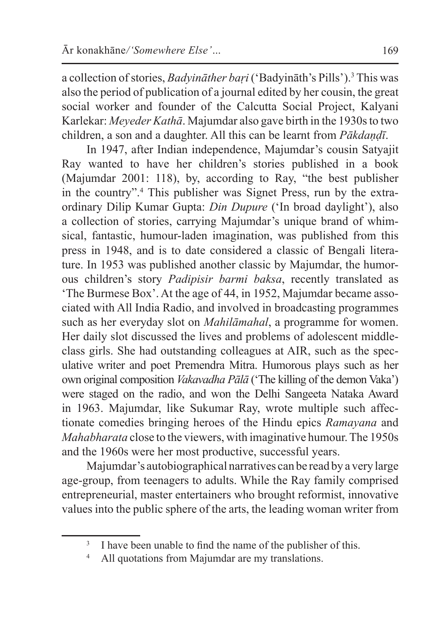a collection of stories, *Badyināther baṛi* ('Badyināth's Pills').<sup>3</sup> This was also the period of publication of a journal edited by her cousin, the great social worker and founder of the Calcutta Social Project, Kalyani Karlekar: *Meyeder Kathā*. Majumdar also gave birth in the 1930s to two children, a son and a daughter. All this can be learnt from *Pākdaṇḍī*.

In 1947, after Indian independence, Majumdar's cousin Satyajit Ray wanted to have her children's stories published in a book (Majumdar 2001: 118), by, according to Ray, "the best publisher in the country".<sup>4</sup> This publisher was Signet Press, run by the extraordinary Dilip Kumar Gupta: *Din Dupure* ('In broad daylight'), also a collection of stories, carrying Majumdar's unique brand of whimsical, fantastic, humour-laden imagination, was published from this press in 1948, and is to date considered a classic of Bengali literature. In 1953 was published another classic by Majumdar, the humorous children's story *Padipisir barmi baksa*, recently translated as 'The Burmese Box'. At the age of 44, in 1952, Majumdar became associated with All India Radio, and involved in broadcasting programmes such as her everyday slot on *Mahilāmahal*, a programme for women. Her daily slot discussed the lives and problems of adolescent middleclass girls. She had outstanding colleagues at AIR, such as the speculative writer and poet Premendra Mitra. Humorous plays such as her own original composition *Vakavadha Pālā* ('The killing of the demon Vaka') were staged on the radio, and won the Delhi Sangeeta Nataka Award in 1963. Majumdar, like Sukumar Ray, wrote multiple such affectionate comedies bringing heroes of the Hindu epics *Ramayana* and *Mahabharata* close to the viewers, with imaginative humour.The 1950s and the 1960s were her most productive, successful years.

Majumdar's autobiographical narratives can be read by a very large age-group, from teenagers to adults. While the Ray family comprised entrepreneurial, master entertainers who brought reformist, innovative values into the public sphere of the arts, the leading woman writer from

<sup>&</sup>lt;sup>3</sup> I have been unable to find the name of the publisher of this.

All quotations from Majumdar are my translations.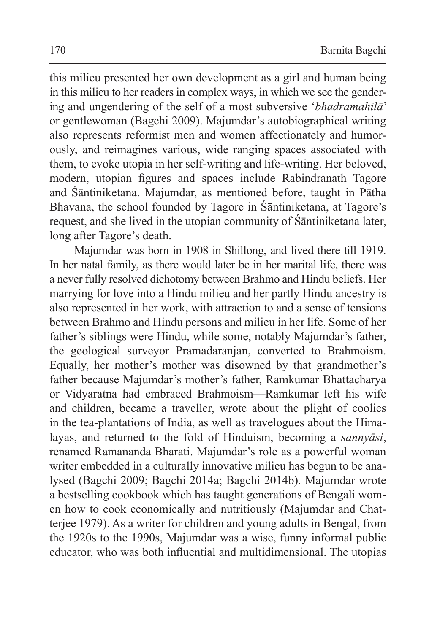this milieu presented her own development as a girl and human being in this milieu to her readers in complex ways, in which we see the gendering and ungendering of the self of a most subversive '*bhadramahilā*' or gentlewoman (Bagchi 2009). Majumdar's autobiographical writing also represents reformist men and women affectionately and humorously, and reimagines various, wide ranging spaces associated with them, to evoke utopia in her self-writing and life-writing. Her beloved, modern, utopian figures and spaces include Rabindranath Tagore and Śāntiniketana. Majumdar, as mentioned before, taught in Pātha Bhavana, the school founded by Tagore in Śāntiniketana, at Tagore's request, and she lived in the utopian community of Śāntiniketana later, long after Tagore's death.

Majumdar was born in 1908 in Shillong, and lived there till 1919. In her natal family, as there would later be in her marital life, there was a never fully resolved dichotomy between Brahmo and Hindu beliefs. Her marrying for love into a Hindu milieu and her partly Hindu ancestry is also represented in her work, with attraction to and a sense of tensions between Brahmo and Hindu persons and milieu in her life. Some of her father's siblings were Hindu, while some, notably Majumdar's father, the geological surveyor Pramadaranjan, converted to Brahmoism. Equally, her mother's mother was disowned by that grandmother's father because Majumdar's mother's father, Ramkumar Bhattacharya or Vidyaratna had embraced Brahmoism—Ramkumar left his wife and children, became a traveller, wrote about the plight of coolies in the tea-plantations of India, as well as travelogues about the Himalayas, and returned to the fold of Hinduism, becoming a *sannyāsi*, renamed Ramananda Bharati. Majumdar's role as a powerful woman writer embedded in a culturally innovative milieu has begun to be analysed (Bagchi 2009; Bagchi 2014a; Bagchi 2014b). Majumdar wrote a bestselling cookbook which has taught generations of Bengali women how to cook economically and nutritiously (Majumdar and Chatterjee 1979). As a writer for children and young adults in Bengal, from the 1920s to the 1990s, Majumdar was a wise, funny informal public educator, who was both influential and multidimensional. The utopias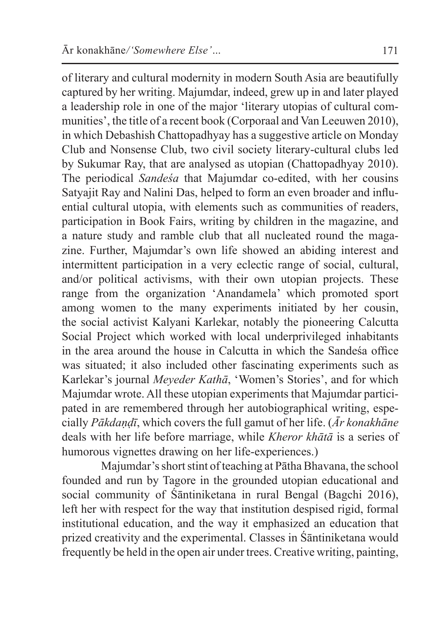of literary and cultural modernity in modern South Asia are beautifully captured by her writing. Majumdar, indeed, grew up in and later played a leadership role in one of the major 'literary utopias of cultural communities', the title of a recent book (Corporaal and Van Leeuwen 2010), in which Debashish Chattopadhyay has a suggestive article on Monday Club and Nonsense Club, two civil society literary-cultural clubs led by Sukumar Ray, that are analysed as utopian (Chattopadhyay 2010). The periodical *Sandeśa* that Majumdar co-edited, with her cousins Satyajit Ray and Nalini Das, helped to form an even broader and influential cultural utopia, with elements such as communities of readers, participation in Book Fairs, writing by children in the magazine, and a nature study and ramble club that all nucleated round the magazine. Further, Majumdar's own life showed an abiding interest and intermittent participation in a very eclectic range of social, cultural, and/or political activisms, with their own utopian projects. These range from the organization 'Anandamela' which promoted sport among women to the many experiments initiated by her cousin, the social activist Kalyani Karlekar, notably the pioneering Calcutta Social Project which worked with local underprivileged inhabitants in the area around the house in Calcutta in which the Sandeśa office was situated; it also included other fascinating experiments such as Karlekar's journal *Meyeder Kathā*, 'Women's Stories', and for which Majumdar wrote. All these utopian experiments that Majumdar participated in are remembered through her autobiographical writing, especially *Pākdaṇḍī*, which covers the full gamut of her life. (*Ār konakhāne* deals with her life before marriage, while *Kheror khātā* is a series of humorous vignettes drawing on her life-experiences.)

Majumdar's short stint of teaching at Pātha Bhavana, the school founded and run by Tagore in the grounded utopian educational and social community of Śāntiniketana in rural Bengal (Bagchi 2016), left her with respect for the way that institution despised rigid, formal institutional education, and the way it emphasized an education that prized creativity and the experimental. Classes in Śāntiniketana would frequently be held in the open air under trees. Creative writing, painting,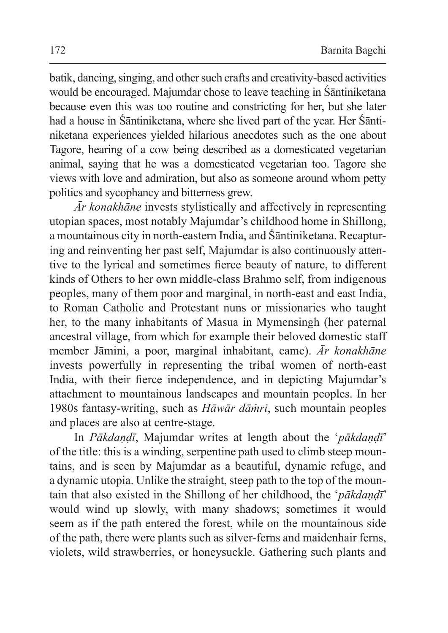batik, dancing, singing, and other such crafts and creativity-based activities would be encouraged. Majumdar chose to leave teaching in Śāntiniketana because even this was too routine and constricting for her, but she later had a house in Śāntiniketana, where she lived part of the year. Her Śāntiniketana experiences yielded hilarious anecdotes such as the one about Tagore, hearing of a cow being described as a domesticated vegetarian animal, saying that he was a domesticated vegetarian too. Tagore she views with love and admiration, but also as someone around whom petty politics and sycophancy and bitterness grew.

*Ār konakhāne* invests stylistically and affectively in representing utopian spaces, most notably Majumdar's childhood home in Shillong, a mountainous city in north-eastern India, and Śāntiniketana. Recapturing and reinventing her past self, Majumdar is also continuously attentive to the lyrical and sometimes fierce beauty of nature, to different kinds of Others to her own middle-class Brahmo self, from indigenous peoples, many of them poor and marginal, in north-east and east India, to Roman Catholic and Protestant nuns or missionaries who taught her, to the many inhabitants of Masua in Mymensingh (her paternal ancestral village, from which for example their beloved domestic staff member Jāmini, a poor, marginal inhabitant, came). *Ār konakhāne* invests powerfully in representing the tribal women of north-east India, with their fierce independence, and in depicting Majumdar's attachment to mountainous landscapes and mountain peoples. In her 1980s fantasy-writing, such as *Hāwār dāṁri*, such mountain peoples and places are also at centre-stage.

In *Pākdaṇḍī*, Majumdar writes at length about the '*pākdaṇḍī*' of the title: this is a winding, serpentine path used to climb steep mountains, and is seen by Majumdar as a beautiful, dynamic refuge, and a dynamic utopia. Unlike the straight, steep path to the top of the mountain that also existed in the Shillong of her childhood, the '*pākdaṇḍī*' would wind up slowly, with many shadows; sometimes it would seem as if the path entered the forest, while on the mountainous side of the path, there were plants such as silver-ferns and maidenhair ferns, violets, wild strawberries, or honeysuckle. Gathering such plants and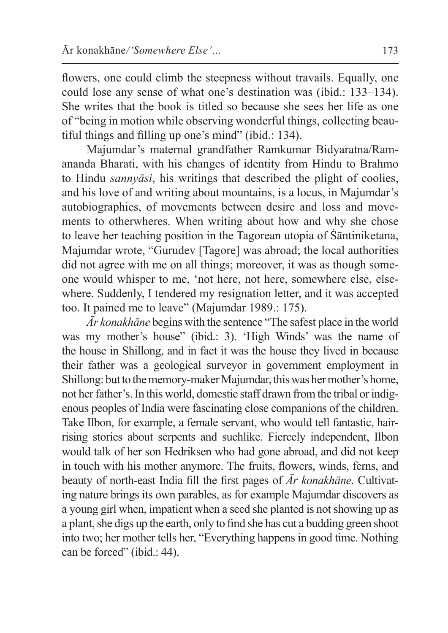flowers, one could climb the steepness without travails. Equally, one could lose any sense of what one's destination was (ibid.: 133–134). She writes that the book is titled so because she sees her life as one of "being in motion while observing wonderful things, collecting beautiful things and filling up one's mind" (ibid.: 134).

Majumdar's maternal grandfather Ramkumar Bidyaratna/Ramananda Bharati, with his changes of identity from Hindu to Brahmo to Hindu *sannyāsi*, his writings that described the plight of coolies, and his love of and writing about mountains, is a locus, in Majumdar's autobiographies, of movements between desire and loss and movements to otherwheres. When writing about how and why she chose to leave her teaching position in the Tagorean utopia of Śāntiniketana, Majumdar wrote, "Gurudev [Tagore] was abroad; the local authorities did not agree with me on all things; moreover, it was as though someone would whisper to me, 'not here, not here, somewhere else, elsewhere. Suddenly, I tendered my resignation letter, and it was accepted too. It pained me to leave" (Majumdar 1989.: 175).

*Ār konakhāne* begins with the sentence "The safest place in the world was my mother's house" (ibid.: 3). 'High Winds' was the name of the house in Shillong, and in fact it was the house they lived in because their father was a geological surveyor in government employment in Shillong: but to the memory-maker Majumdar, this was her mother's home, not her father's. In this world, domestic staff drawn from the tribal or indigenous peoples of India were fascinating close companions of the children. Take Ilbon, for example, a female servant, who would tell fantastic, hairrising stories about serpents and suchlike. Fiercely independent, Ilbon would talk of her son Hedriksen who had gone abroad, and did not keep in touch with his mother anymore. The fruits, flowers, winds, ferns, and beauty of north-east India fill the first pages of *Ār konakhāne*. Cultivating nature brings its own parables, as for example Majumdar discovers as a young girl when, impatient when a seed she planted is notshowing up as a plant, she digs up the earth, only to find she has cut a budding green shoot into two; her mother tells her, "Everything happens in good time. Nothing can be forced" (ibid.: 44).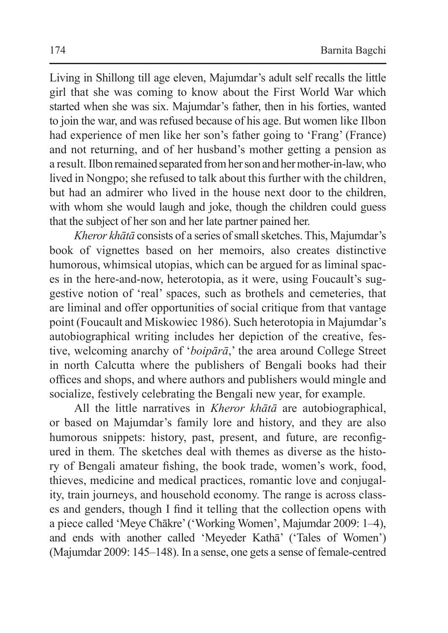Living in Shillong till age eleven, Majumdar's adult self recalls the little girl that she was coming to know about the First World War which started when she was six. Majumdar's father, then in his forties, wanted to join the war, and was refused because of his age. But women like Ilbon had experience of men like her son's father going to 'Frang' (France) and not returning, and of her husband's mother getting a pension as a result. Ilbon remained separated from her son and her mother-in-law, who lived in Nongpo; she refused to talk about this further with the children, but had an admirer who lived in the house next door to the children, with whom she would laugh and joke, though the children could guess that the subject of her son and her late partner pained her.

*Kheror khātā* consists of a series of small sketches. This, Majumdar's book of vignettes based on her memoirs, also creates distinctive humorous, whimsical utopias, which can be argued for as liminal spaces in the here-and-now, heterotopia, as it were, using Foucault's suggestive notion of 'real' spaces, such as brothels and cemeteries, that are liminal and offer opportunities of social critique from that vantage point (Foucault and Miskowiec 1986). Such heterotopia in Majumdar's autobiographical writing includes her depiction of the creative, festive, welcoming anarchy of '*boipārā*,' the area around College Street in north Calcutta where the publishers of Bengali books had their offices and shops, and where authors and publishers would mingle and socialize, festively celebrating the Bengali new year, for example.

All the little narratives in *Kheror khātā* are autobiographical, or based on Majumdar's family lore and history, and they are also humorous snippets: history, past, present, and future, are reconfigured in them. The sketches deal with themes as diverse as the history of Bengali amateur fishing, the book trade, women's work, food, thieves, medicine and medical practices, romantic love and conjugality, train journeys, and household economy. The range is across classes and genders, though I find it telling that the collection opens with a piece called 'Meye Chākre'('Working Women', Majumdar 2009: 1–4), and ends with another called 'Meyeder Kathā' ('Tales of Women') (Majumdar 2009: 145–148). In a sense, one gets a sense of female-centred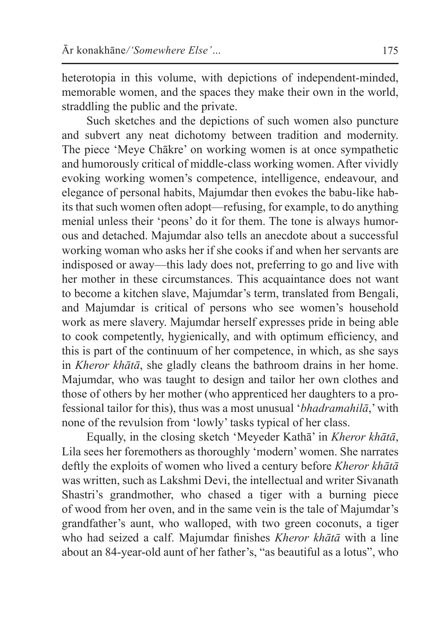heterotopia in this volume, with depictions of independent-minded, memorable women, and the spaces they make their own in the world, straddling the public and the private.

Such sketches and the depictions of such women also puncture and subvert any neat dichotomy between tradition and modernity. The piece 'Meye Chākre' on working women is at once sympathetic and humorously critical of middle-class working women. After vividly evoking working women's competence, intelligence, endeavour, and elegance of personal habits, Majumdar then evokes the babu-like habits that such women often adopt—refusing, for example, to do anything menial unless their 'peons' do it for them. The tone is always humorous and detached. Majumdar also tells an anecdote about a successful working woman who asks her if she cooks if and when her servants are indisposed or away—this lady does not, preferring to go and live with her mother in these circumstances. This acquaintance does not want to become a kitchen slave, Majumdar's term, translated from Bengali, and Majumdar is critical of persons who see women's household work as mere slavery. Majumdar herself expresses pride in being able to cook competently, hygienically, and with optimum efficiency, and this is part of the continuum of her competence, in which, as she says in *Kheror khātā*, she gladly cleans the bathroom drains in her home. Majumdar, who was taught to design and tailor her own clothes and those of others by her mother (who apprenticed her daughters to a professional tailor for this), thus was a most unusual '*bhadramahilā*,' with none of the revulsion from 'lowly' tasks typical of her class.

Equally, in the closing sketch 'Meyeder Kathā' in *Kheror khātā*, Lila sees her foremothers as thoroughly 'modern' women. She narrates deftly the exploits of women who lived a century before *Kheror khātā* was written, such as Lakshmi Devi, the intellectual and writer Sivanath Shastri's grandmother, who chased a tiger with a burning piece of wood from her oven, and in the same vein is the tale of Majumdar's grandfather's aunt, who walloped, with two green coconuts, a tiger who had seized a calf. Majumdar finishes *Kheror khātā* with a line about an 84-year-old aunt of her father's, "as beautiful as a lotus", who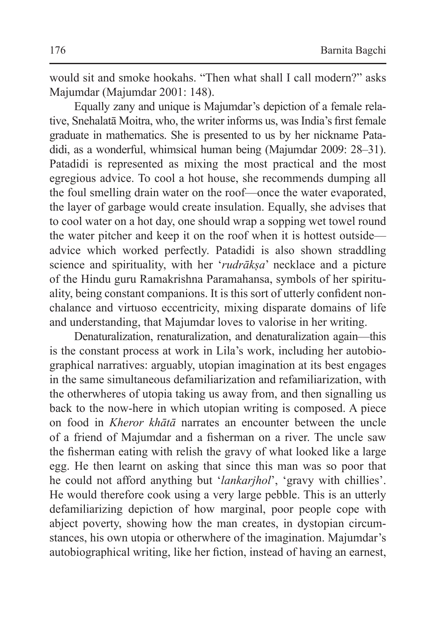would sit and smoke hookahs. "Then what shall I call modern?" asks Majumdar (Majumdar 2001: 148).

Equally zany and unique is Majumdar's depiction of a female relative, Snehalatā Moitra, who, the writer informs us, was India's first female graduate in mathematics. She is presented to us by her nickname Patadidi, as a wonderful, whimsical human being (Majumdar 2009: 28–31). Patadidi is represented as mixing the most practical and the most egregious advice. To cool a hot house, she recommends dumping all the foul smelling drain water on the roof—once the water evaporated, the layer of garbage would create insulation. Equally, she advises that to cool water on a hot day, one should wrap a sopping wet towel round the water pitcher and keep it on the roof when it is hottest outside advice which worked perfectly. Patadidi is also shown straddling science and spirituality, with her '*rudrākṣa*' necklace and a picture of the Hindu guru Ramakrishna Paramahansa, symbols of her spirituality, being constant companions. It is this sort of utterly confident nonchalance and virtuoso eccentricity, mixing disparate domains of life and understanding, that Majumdar loves to valorise in her writing.

Denaturalization, renaturalization, and denaturalization again—this is the constant process at work in Lila's work, including her autobiographical narratives: arguably, utopian imagination at its best engages in the same simultaneous defamiliarization and refamiliarization, with the otherwheres of utopia taking us away from, and then signalling us back to the now-here in which utopian writing is composed. A piece on food in *Kheror khātā* narrates an encounter between the uncle of a friend of Majumdar and a fisherman on a river. The uncle saw the fisherman eating with relish the gravy of what looked like a large egg. He then learnt on asking that since this man was so poor that he could not afford anything but '*lankarjhol*', 'gravy with chillies'. He would therefore cook using a very large pebble. This is an utterly defamiliarizing depiction of how marginal, poor people cope with abject poverty, showing how the man creates, in dystopian circumstances, his own utopia or otherwhere of the imagination. Majumdar's autobiographical writing, like her fiction, instead of having an earnest,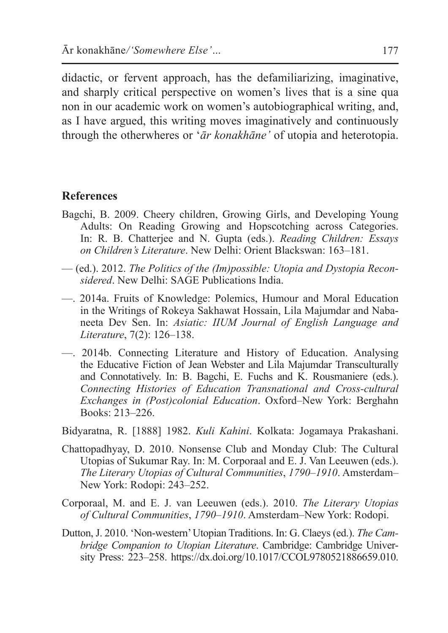didactic, or fervent approach, has the defamiliarizing, imaginative, and sharply critical perspective on women's lives that is a sine qua non in our academic work on women's autobiographical writing, and, as I have argued, this writing moves imaginatively and continuously through the otherwheres or '*ār konakhāne'* of utopia and heterotopia.

## **References**

- Bagchi, B. 2009. Cheery children, Growing Girls, and Developing Young Adults: On Reading Growing and Hopscotching across Categories. In: R. B. Chatterjee and N. Gupta (eds.). *Reading Children: Essays on Children's Literature*. New Delhi: Orient Blackswan: 163–181.
- (ed.). 2012. *The Politics of the (Im)possible: Utopia and Dystopia Reconsidered*. New Delhi: SAGE Publications India.
- —. 2014a. Fruits of Knowledge: Polemics, Humour and Moral Education in the Writings of Rokeya Sakhawat Hossain, Lila Majumdar and Nabaneeta Dev Sen. In: *Asiatic: IIUM Journal of English Language and Literature*, 7(2): 126–138.
- —. 2014b. Connecting Literature and History of Education. Analysing the Educative Fiction of Jean Webster and Lila Majumdar Transculturally and Connotatively. In: B. Bagchi, E. Fuchs and K. Rousmaniere (eds.). *Connecting Histories of Education Transnational and Cross-cultural Exchanges in (Post)colonial Education*. Oxford–New York: Berghahn Books: 213–226.
- Bidyaratna, R. [1888] 1982. *Kuli Kahini*. Kolkata: Jogamaya Prakashani.
- Chattopadhyay, D. 2010. Nonsense Club and Monday Club: The Cultural Utopias of Sukumar Ray. In: M. Corporaal and E. J. Van Leeuwen (eds.). *The Literary Utopias of Cultural Communities*, *1790–1910*. Amsterdam– New York: Rodopi: 243–252.
- Corporaal, M. and E. J. van Leeuwen (eds.). 2010. *The Literary Utopias of Cultural Communities*, *1790–1910*. Amsterdam–New York: Rodopi.
- Dutton, J. 2010. 'Non-western'Utopian Traditions. In: G. Claeys (ed.). *The Cambridge Companion to Utopian Literature*. Cambridge: Cambridge University Press: 223–258. https://dx.doi.org/10.1017/CCOL9780521886659.010.